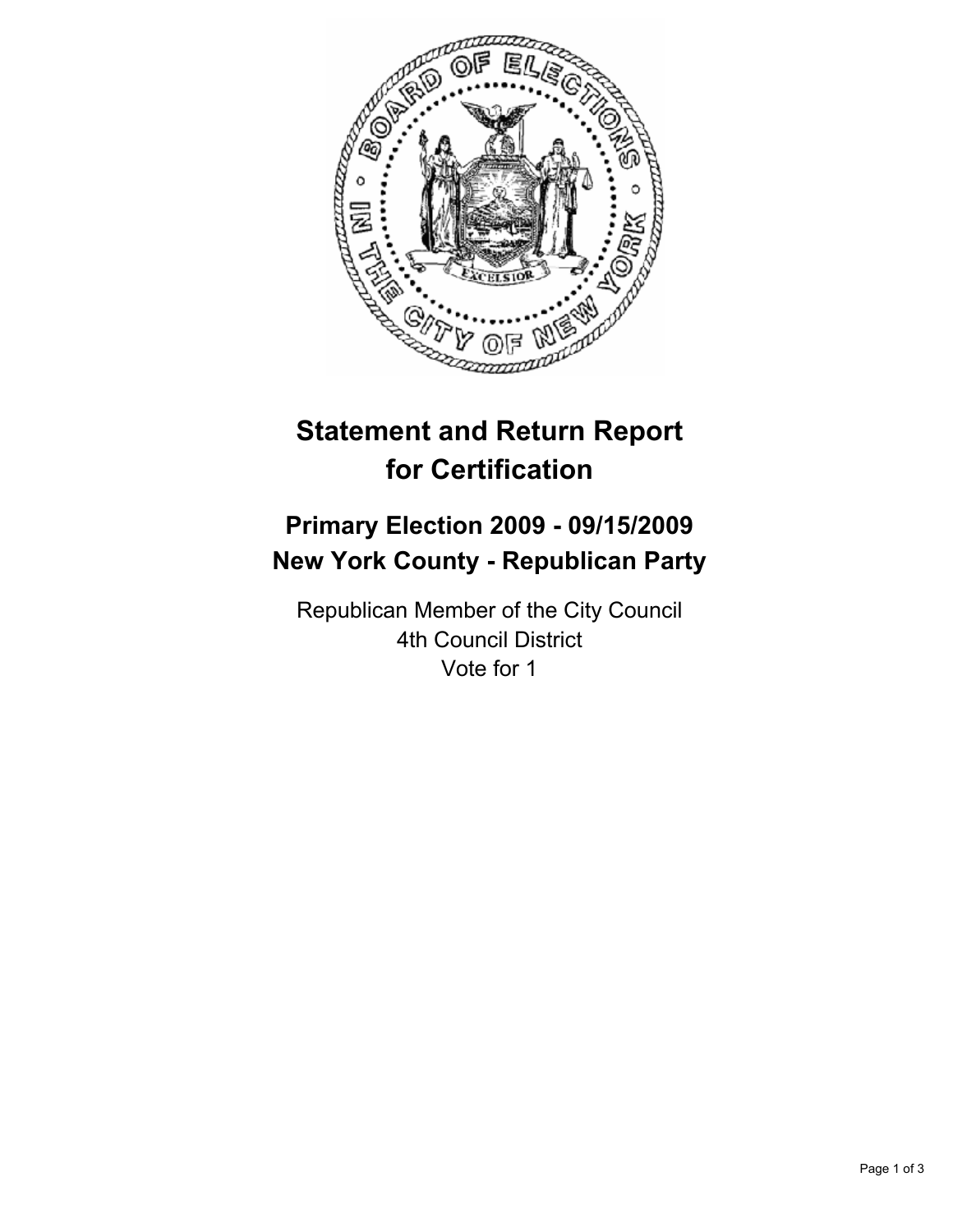

# **Statement and Return Report for Certification**

## **Primary Election 2009 - 09/15/2009 New York County - Republican Party**

Republican Member of the City Council 4th Council District Vote for 1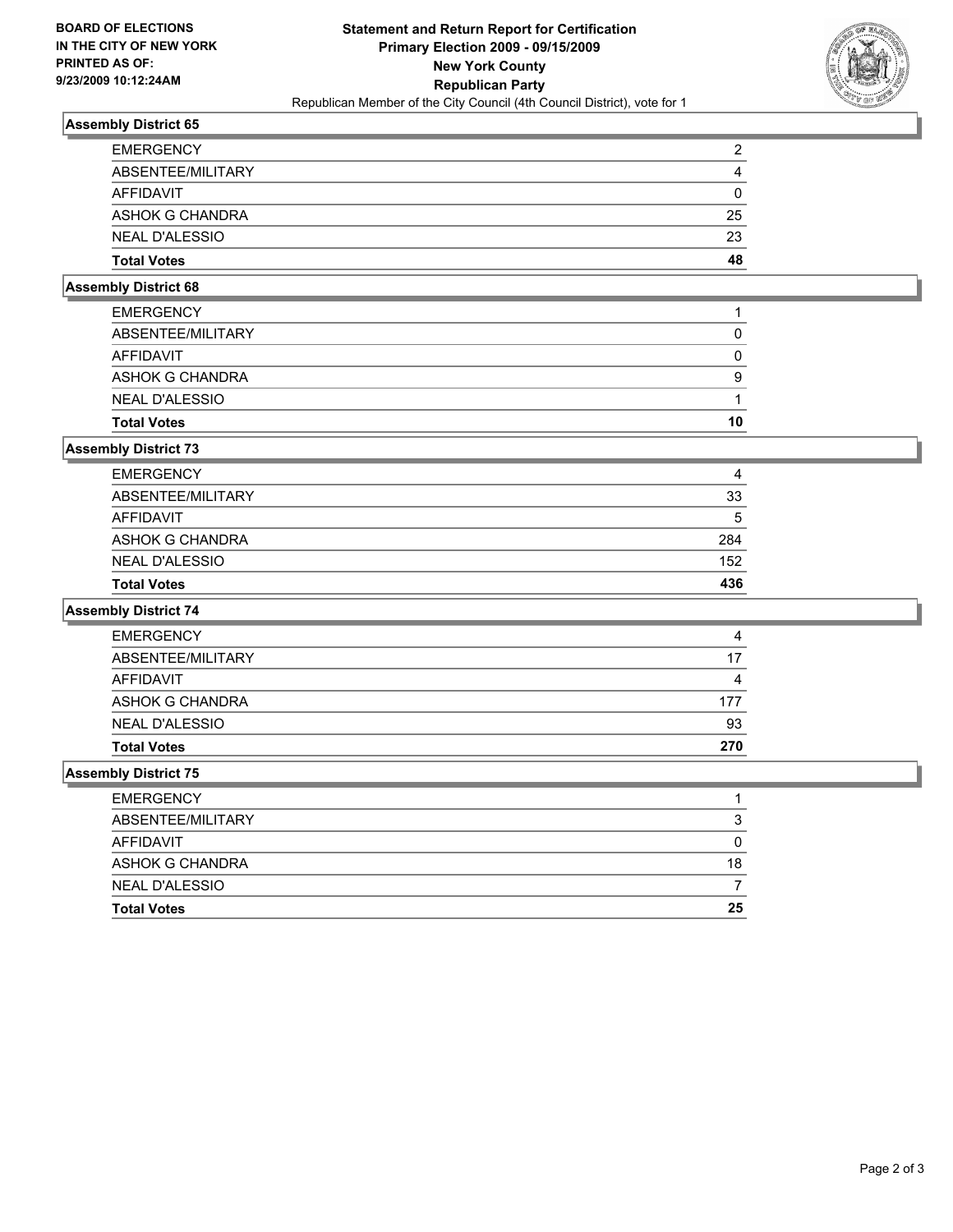

### **Assembly District 65**

| <b>EMERGENCY</b>       | 2  |
|------------------------|----|
| ABSENTEE/MILITARY      | 4  |
| AFFIDAVIT              | 0  |
| <b>ASHOK G CHANDRA</b> | 25 |
| <b>NEAL D'ALESSIO</b>  | 23 |
| <b>Total Votes</b>     | 48 |

### **Assembly District 68**

| <b>Total Votes</b>     | 10 |
|------------------------|----|
| <b>NEAL D'ALESSIO</b>  |    |
| <b>ASHOK G CHANDRA</b> | 9  |
| AFFIDAVIT              |    |
| ABSENTEE/MILITARY      |    |
| <b>EMERGENCY</b>       |    |

#### **Assembly District 73**

| AFFIDAVIT              | 33<br>5 |
|------------------------|---------|
| <b>ASHOK G CHANDRA</b> | 284     |
| <b>NEAL D'ALESSIO</b>  | 152     |
| <b>Total Votes</b>     | 436     |

#### **Assembly District 74**

| <b>EMERGENCY</b>      | 4   |
|-----------------------|-----|
| ABSENTEE/MILITARY     | 17  |
| AFFIDAVIT             | 4   |
| ASHOK G CHANDRA       | 177 |
| <b>NEAL D'ALESSIO</b> | 93  |
| <b>Total Votes</b>    | 270 |

#### **Assembly District 75**

| <b>Total Votes</b>     | 25 |
|------------------------|----|
| <b>NEAL D'ALESSIO</b>  |    |
| <b>ASHOK G CHANDRA</b> | 18 |
| AFFIDAVIT              | 0  |
| ABSENTEE/MILITARY      | 3  |
| <b>EMERGENCY</b>       |    |